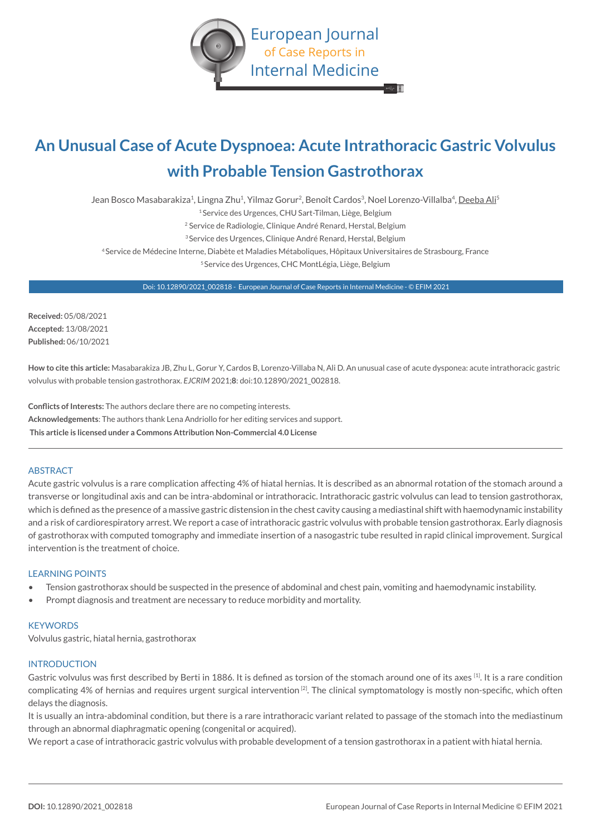

# **An Unusual Case of Acute Dyspnoea: Acute Intrathoracic Gastric Volvulus with Probable Tension Gastrothorax**

Jean Bosco Masabarakiza<sup>1</sup>, Lingna Zhu<sup>1</sup>, Yilmaz Gorur<sup>2</sup>, Benoît Cardos<sup>3</sup>, Noel Lorenzo-Villalba<sup>4</sup>, Deeba Ali<sup>5</sup>

1 Service des Urgences, CHU Sart-Tilman, Liège, Belgium

2 Service de Radiologie, Clinique André Renard, Herstal, Belgium

3 Service des Urgences, Clinique André Renard, Herstal, Belgium

4 Service de Médecine Interne, Diabète et Maladies Métaboliques, Hôpitaux Universitaires de Strasbourg, France

5 Service des Urgences, CHC MontLégia, Liège, Belgium

Doi: 10.12890/2021\_002818 - European Journal of Case Reports in Internal Medicine - © EFIM 2021

**Received:** 05/08/2021 **Accepted:** 13/08/2021 **Published:** 06/10/2021

**How to cite this article:** Masabarakiza JB, Zhu L, Gorur Y, Cardos B, Lorenzo-Villaba N, Ali D. An unusual case of acute dysponea: acute intrathoracic gastric volvulus with probable tension gastrothorax. *EJCRIM* 2021;**8**: doi:10.12890/2021\_002818.

**Conflicts of Interests:** The authors declare there are no competing interests. **Acknowledgements**: The authors thank Lena Andriollo for her editing services and support.  **This article is licensed under a Commons Attribution Non-Commercial 4.0 License**

# ABSTRACT

Acute gastric volvulus is a rare complication affecting 4% of hiatal hernias. It is described as an abnormal rotation of the stomach around a transverse or longitudinal axis and can be intra-abdominal or intrathoracic. Intrathoracic gastric volvulus can lead to tension gastrothorax, which is defined as the presence of a massive gastric distension in the chest cavity causing a mediastinal shift with haemodynamic instability and a risk of cardiorespiratory arrest. We report a case of intrathoracic gastric volvulus with probable tension gastrothorax. Early diagnosis of gastrothorax with computed tomography and immediate insertion of a nasogastric tube resulted in rapid clinical improvement. Surgical intervention is the treatment of choice.

## LEARNING POINTS

- Tension gastrothorax should be suspected in the presence of abdominal and chest pain, vomiting and haemodynamic instability.
- Prompt diagnosis and treatment are necessary to reduce morbidity and mortality.

## **KEYWORDS**

Volvulus gastric, hiatal hernia, gastrothorax

## **INTRODUCTION**

Gastric volvulus was first described by Berti in 1886. It is defined as torsion of the stomach around one of its axes [1]. It is a rare condition complicating 4% of hernias and requires urgent surgical intervention<sup>[2]</sup>. The clinical symptomatology is mostly non-specific, which often delays the diagnosis.

It is usually an intra-abdominal condition, but there is a rare intrathoracic variant related to passage of the stomach into the mediastinum through an abnormal diaphragmatic opening (congenital or acquired).

We report a case of intrathoracic gastric volvulus with probable development of a tension gastrothorax in a patient with hiatal hernia.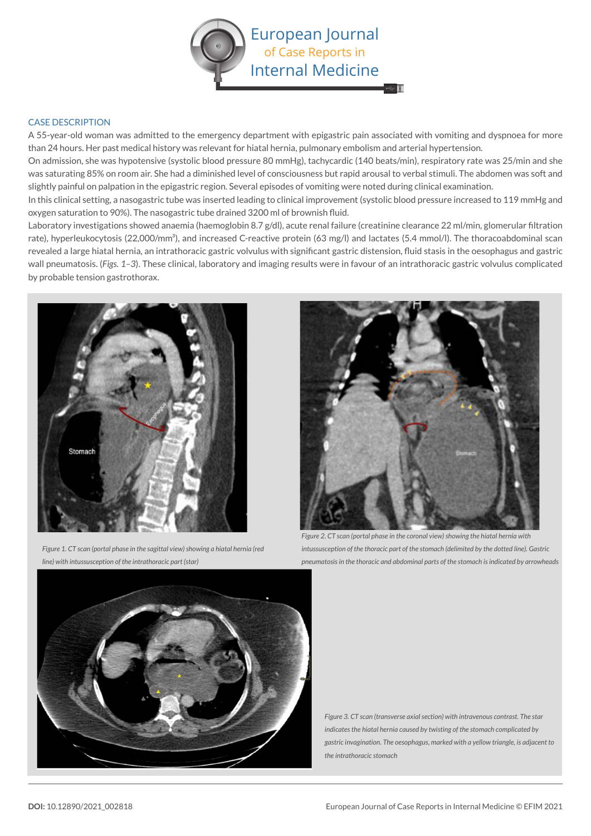

# CASE DESCRIPTION

A 55-year-old woman was admitted to the emergency department with epigastric pain associated with vomiting and dyspnoea for more than 24 hours. Her past medical history was relevant for hiatal hernia, pulmonary embolism and arterial hypertension.

On admission, she was hypotensive (systolic blood pressure 80 mmHg), tachycardic (140 beats/min), respiratory rate was 25/min and she was saturating 85% on room air. She had a diminished level of consciousness but rapid arousal to verbal stimuli. The abdomen was soft and slightly painful on palpation in the epigastric region. Several episodes of vomiting were noted during clinical examination.

In this clinical setting, a nasogastric tube was inserted leading to clinical improvement (systolic blood pressure increased to 119 mmHg and oxygen saturation to 90%). The nasogastric tube drained 3200 ml of brownish fluid.

Laboratory investigations showed anaemia (haemoglobin 8.7 g/dl), acute renal failure (creatinine clearance 22 ml/min, glomerular filtration rate), hyperleukocytosis (22,000/mm<sup>3</sup>), and increased C-reactive protein (63 mg/l) and lactates (5.4 mmol/l). The thoracoabdominal scan revealed a large hiatal hernia, an intrathoracic gastric volvulus with significant gastric distension, fluid stasis in the oesophagus and gastric wall pneumatosis. (*Figs. 1–3*). These clinical, laboratory and imaging results were in favour of an intrathoracic gastric volvulus complicated by probable tension gastrothorax.



*Figure 1. CT scan (portal phase in the sagittal view) showing a hiatal hernia (red line) with intussusception of the intrathoracic part (star)*



*Figure 2. CT scan (portal phase in the coronal view) showing the hiatal hernia with intussusception of the thoracic part of the stomach (delimited by the dotted line). Gastric pneumatosis in the thoracic and abdominal parts of the stomach is indicated by arrowheads*



*Figure 3. CT scan (transverse axial section) with intravenous contrast. The star indicates the hiatal hernia caused by twisting of the stomach complicated by gastric invagination. The oesophagus, marked with a yellow triangle, is adjacent to the intrathoracic stomach*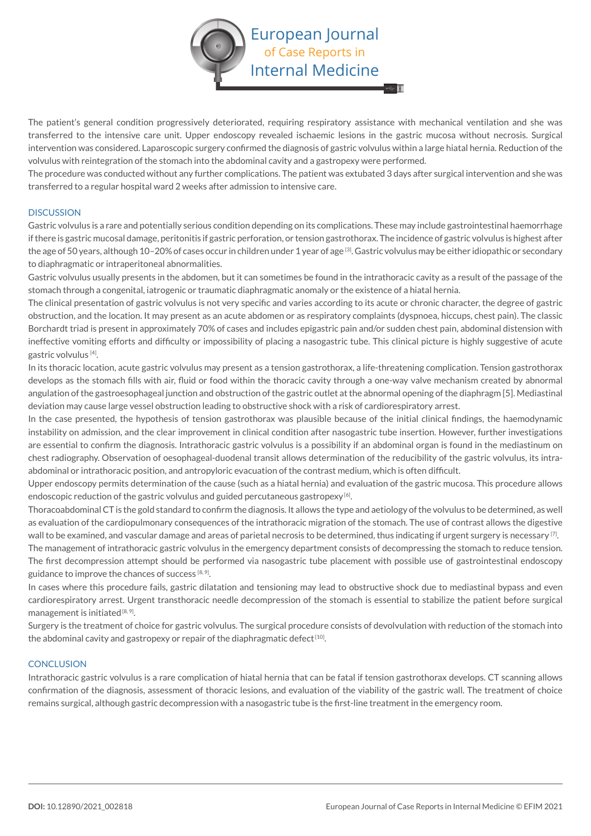

The patient's general condition progressively deteriorated, requiring respiratory assistance with mechanical ventilation and she was transferred to the intensive care unit. Upper endoscopy revealed ischaemic lesions in the gastric mucosa without necrosis. Surgical intervention was considered. Laparoscopic surgery confirmed the diagnosis of gastric volvulus within a large hiatal hernia. Reduction of the volvulus with reintegration of the stomach into the abdominal cavity and a gastropexy were performed.

The procedure was conducted without any further complications. The patient was extubated 3 days after surgical intervention and she was transferred to a regular hospital ward 2 weeks after admission to intensive care.

#### **DISCUSSION**

Gastric volvulus is a rare and potentially serious condition depending on its complications. These may include gastrointestinal haemorrhage if there is gastric mucosal damage, peritonitis if gastric perforation, or tension gastrothorax. The incidence of gastric volvulus is highest after the age of 50 years, although 10-20% of cases occur in children under 1 year of age<sup>[3]</sup>. Gastric volvulus may be either idiopathic or secondary to diaphragmatic or intraperitoneal abnormalities.

Gastric volvulus usually presents in the abdomen, but it can sometimes be found in the intrathoracic cavity as a result of the passage of the stomach through a congenital, iatrogenic or traumatic diaphragmatic anomaly or the existence of a hiatal hernia.

The clinical presentation of gastric volvulus is not very specific and varies according to its acute or chronic character, the degree of gastric obstruction, and the location. It may present as an acute abdomen or as respiratory complaints (dyspnoea, hiccups, chest pain). The classic Borchardt triad is present in approximately 70% of cases and includes epigastric pain and/or sudden chest pain, abdominal distension with ineffective vomiting efforts and difficulty or impossibility of placing a nasogastric tube. This clinical picture is highly suggestive of acute gastric volvulus [4].

In its thoracic location, acute gastric volvulus may present as a tension gastrothorax, a life-threatening complication. Tension gastrothorax develops as the stomach fills with air, fluid or food within the thoracic cavity through a one-way valve mechanism created by abnormal angulation of the gastroesophageal junction and obstruction of the gastric outlet at the abnormal opening of the diaphragm [5]. Mediastinal deviation may cause large vessel obstruction leading to obstructive shock with a risk of cardiorespiratory arrest.

In the case presented, the hypothesis of tension gastrothorax was plausible because of the initial clinical findings, the haemodynamic instability on admission, and the clear improvement in clinical condition after nasogastric tube insertion. However, further investigations are essential to confirm the diagnosis. Intrathoracic gastric volvulus is a possibility if an abdominal organ is found in the mediastinum on chest radiography. Observation of oesophageal-duodenal transit allows determination of the reducibility of the gastric volvulus, its intraabdominal or intrathoracic position, and antropyloric evacuation of the contrast medium, which is often difficult.

Upper endoscopy permits determination of the cause (such as a hiatal hernia) and evaluation of the gastric mucosa. This procedure allows endoscopic reduction of the gastric volvulus and guided percutaneous gastropexy  $[6]$ .

Thoracoabdominal CT is the gold standard to confirm the diagnosis. It allows the type and aetiology of the volvulus to be determined, as well as evaluation of the cardiopulmonary consequences of the intrathoracic migration of the stomach. The use of contrast allows the digestive wall to be examined, and vascular damage and areas of parietal necrosis to be determined, thus indicating if urgent surgery is necessary <sup>[7]</sup>.

The management of intrathoracic gastric volvulus in the emergency department consists of decompressing the stomach to reduce tension. The first decompression attempt should be performed via nasogastric tube placement with possible use of gastrointestinal endoscopy guidance to improve the chances of success  $[8, 9]$ .

In cases where this procedure fails, gastric dilatation and tensioning may lead to obstructive shock due to mediastinal bypass and even cardiorespiratory arrest. Urgent transthoracic needle decompression of the stomach is essential to stabilize the patient before surgical management is initiated  $[8, 9]$ .

Surgery is the treatment of choice for gastric volvulus. The surgical procedure consists of devolvulation with reduction of the stomach into the abdominal cavity and gastropexy or repair of the diaphragmatic defect  $[10]$ .

#### **CONCLUSION**

Intrathoracic gastric volvulus is a rare complication of hiatal hernia that can be fatal if tension gastrothorax develops. CT scanning allows confirmation of the diagnosis, assessment of thoracic lesions, and evaluation of the viability of the gastric wall. The treatment of choice remains surgical, although gastric decompression with a nasogastric tube is the first-line treatment in the emergency room.